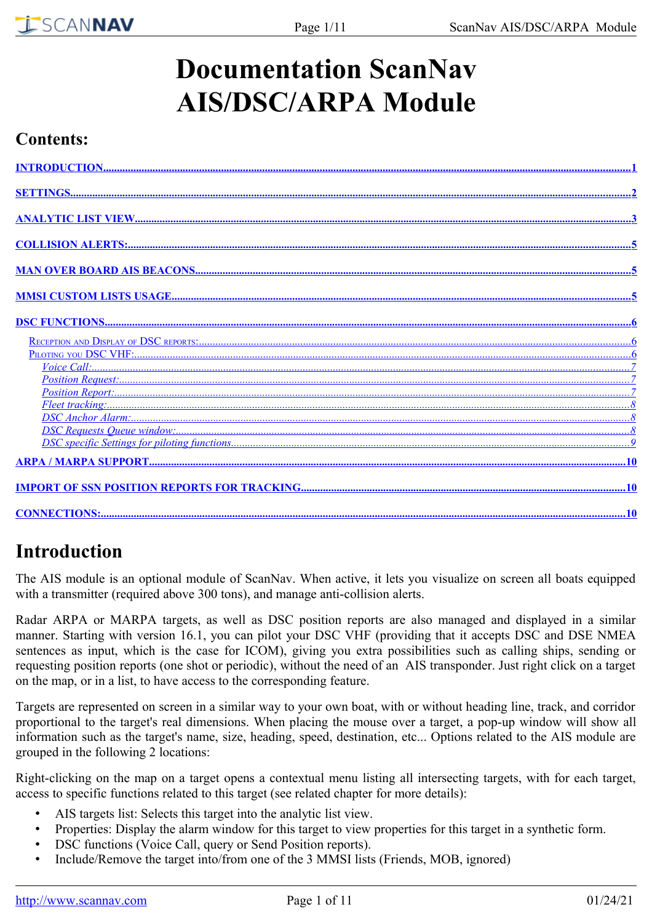# **Documentation ScanNav AIS/DSC/ARPA Module**

### **Contents:**

# <span id="page-0-0"></span>**Introduction**

The AIS module is an optional module of ScanNav. When active, it lets you visualize on screen all boats equipped with a transmitter (required above 300 tons), and manage anti-collision alerts.

Radar ARPA or MARPA targets, as well as DSC position reports are also managed and displayed in a similar manner. Starting with version 16.1, you can pilot your DSC VHF (providing that it accepts DSC and DSE NMEA sentences as input, which is the case for ICOM), giving you extra possibilities such as calling ships, sending or requesting position reports (one shot or periodic), without the need of an AIS transponder. Just right click on a target on the map, or in a list, to have access to the corresponding feature.

Targets are represented on screen in a similar way to your own boat, with or without heading line, track, and corridor proportional to the target's real dimensions. When placing the mouse over a target, a pop-up window will show all information such as the target's name, size, heading, speed, destination, etc... Options related to the AIS module are grouped in the following 2 locations:

Right-clicking on the map on a target opens a contextual menu listing all intersecting targets, with for each target, access to specific functions related to this target (see related chapter for more details):

- AIS targets list: Selects this target into the analytic list view.
- Properties: Display the alarm window for this target to view properties for this target in a synthetic form.
- DSC functions (Voice Call, query or Send Position reports).
- Include/Remove the target into/from one of the 3 MMSI lists (Friends, MOB, ignored)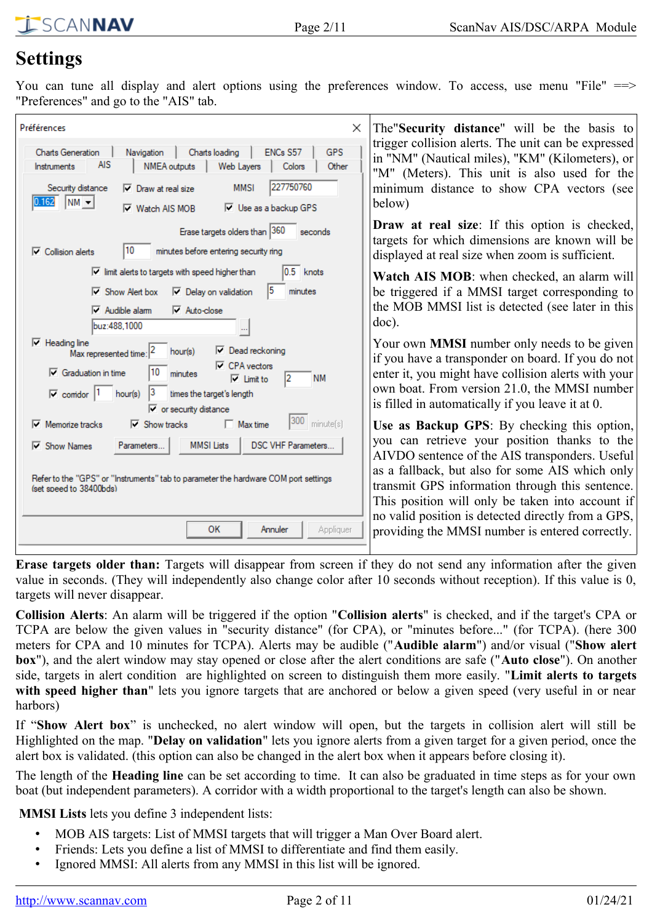# <span id="page-1-0"></span>**Settings**

You can tune all display and alert options using the preferences window. To access, use menu "File" ==> "Preferences" and go to the "AIS" tab.

| Préférences<br>$\times$                                                                                                                                                                                                                                                                                                | The Security distance" will be the basis to                                                                                                                                                                                                                                                             |  |  |  |
|------------------------------------------------------------------------------------------------------------------------------------------------------------------------------------------------------------------------------------------------------------------------------------------------------------------------|---------------------------------------------------------------------------------------------------------------------------------------------------------------------------------------------------------------------------------------------------------------------------------------------------------|--|--|--|
| Charts loading<br>ENCs S57<br><b>GPS</b><br><b>Charts Generation</b><br>Navigation<br><b>AIS</b><br>NMEA outputs<br>Web Layers<br>Colors<br>Other<br>Instruments<br>227750760<br><b>MMSI</b><br>Security distance<br>$\nabla$ Draw at real size                                                                        | trigger collision alerts. The unit can be expressed<br>in "NM" (Nautical miles), "KM" (Kilometers), or<br>"M" (Meters). This unit is also used for the<br>minimum distance to show CPA vectors (see                                                                                                     |  |  |  |
| $ NM -$<br>0.162<br>$\nabla$ Use as a backup GPS<br>$\nabla$ Watch AIS MOB                                                                                                                                                                                                                                             | below)                                                                                                                                                                                                                                                                                                  |  |  |  |
| Erase targets olders than 360<br>seconds<br>10<br>minutes before entering security ring<br>$\overline{\mathbf{v}}$ Collision alerts                                                                                                                                                                                    | Draw at real size: If this option is checked,<br>targets for which dimensions are known will be<br>displayed at real size when zoom is sufficient.                                                                                                                                                      |  |  |  |
| $\overline{\vee}$ limit alerts to targets with speed higher than<br>0.5<br>knots<br>15<br>$\nabla$ Delay on validation<br>$\nabla$ Show Alert box<br>minutes<br>$\nabla$ Audible alam<br>$\nabla$ Auto-close<br>buz:488.1000                                                                                           | Watch AIS MOB: when checked, an alarm will<br>be triggered if a MMSI target corresponding to<br>the MOB MMSI list is detected (see later in this<br>$doc)$ .                                                                                                                                            |  |  |  |
| $\nabla$ Heading line<br>$\nabla$ Dead reckoning<br>hour(s)<br>Max represented time:<br>$\nabla$ CPA vectors<br>$\nabla$ Graduation in time<br>minutes<br><b>NM</b><br>l2<br>$\overline{\vee}$ Limit to<br>$\overline{\vee}$ comdor  1<br>hour(s)<br>times the target's length<br>$\triangledown$ or security distance | Your own <b>MMSI</b> number only needs to be given<br>if you have a transponder on board. If you do not<br>enter it, you might have collision alerts with your<br>own boat. From version 21.0, the MMSI number<br>is filled in automatically if you leave it at 0.                                      |  |  |  |
| 300<br>minute(s)<br>$\Box$ Max time<br>Memorize tracks<br>$\overline{\mathsf{v}}$ Show tracks<br><b>DSC VHF Parameters</b><br><b>MMSI</b> Lists<br>$\overline{\vee}$ Show Names<br>Parameters<br>Refer to the "GPS" or "Instruments" tab to parameter the hardware COM port settings<br>(set speed to 38400bds)        | Use as Backup GPS: By checking this option,<br>you can retrieve your position thanks to the<br>AIVDO sentence of the AIS transponders. Useful<br>as a fallback, but also for some AIS which only<br>transmit GPS information through this sentence.<br>This position will only be taken into account if |  |  |  |
| OK<br>Appliquer<br>Annuler                                                                                                                                                                                                                                                                                             | no valid position is detected directly from a GPS,<br>providing the MMSI number is entered correctly.                                                                                                                                                                                                   |  |  |  |

**Erase targets older than:** Targets will disappear from screen if they do not send any information after the given value in seconds. (They will independently also change color after 10 seconds without reception). If this value is 0, targets will never disappear.

**Collision Alerts**: An alarm will be triggered if the option "**Collision alerts**" is checked, and if the target's CPA or TCPA are below the given values in "security distance" (for CPA), or "minutes before..." (for TCPA). (here 300 meters for CPA and 10 minutes for TCPA). Alerts may be audible ("**Audible alarm**") and/or visual ("**Show alert box**"), and the alert window may stay opened or close after the alert conditions are safe ("**Auto close**"). On another side, targets in alert condition are highlighted on screen to distinguish them more easily. "**Limit alerts to targets** with speed higher than" lets you ignore targets that are anchored or below a given speed (very useful in or near harbors)

If "**Show Alert box**" is unchecked, no alert window will open, but the targets in collision alert will still be Highlighted on the map. "**Delay on validation**" lets you ignore alerts from a given target for a given period, once the alert box is validated. (this option can also be changed in the alert box when it appears before closing it).

The length of the **Heading line** can be set according to time. It can also be graduated in time steps as for your own boat (but independent parameters). A corridor with a width proportional to the target's length can also be shown.

**MMSI Lists** lets you define 3 independent lists:

- MOB AIS targets: List of MMSI targets that will trigger a Man Over Board alert.
- Friends: Lets you define a list of MMSI to differentiate and find them easily.
- Ignored MMSI: All alerts from any MMSI in this list will be ignored.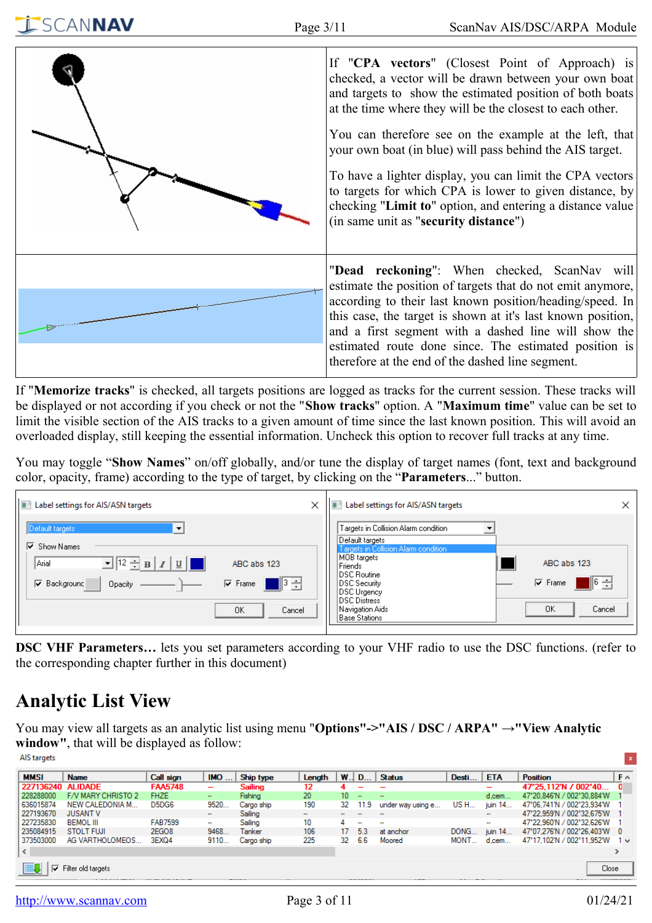

If "**Memorize tracks**" is checked, all targets positions are logged as tracks for the current session. These tracks will be displayed or not according if you check or not the "**Show tracks**" option. A "**Maximum time**" value can be set to limit the visible section of the AIS tracks to a given amount of time since the last known position. This will avoid an overloaded display, still keeping the essential information. Uncheck this option to recover full tracks at any time.

You may toggle "**Show Names**" on/off globally, and/or tune the display of target names (font, text and background color, opacity, frame) according to the type of target, by clicking on the "**Parameters**..." button.

| <b>FI</b><br>Label settings for AIS/ASN targets                                                                                                                                                        | × | Label settings for AIS/ASN targets<br>×                                                                                                                                                                                                                                                     |
|--------------------------------------------------------------------------------------------------------------------------------------------------------------------------------------------------------|---|---------------------------------------------------------------------------------------------------------------------------------------------------------------------------------------------------------------------------------------------------------------------------------------------|
| Default targets<br>√ Show Names<br>$\boxed{\mathbf{v}}$ $\boxed{12 - B}$ $\boxed{I}$ $\boxed{U}$<br>  Arial<br>ABC abs 123<br>∥3 극<br>$\nabla$ Frame<br><b>▽</b> Background<br>Opacity<br>0K<br>Cancel |   | Targets in Collision Alarm condition<br> Default targets <br>Targets in Collision Alarm condition<br>MOB targets<br>ABC abs 123<br>Friends<br>DSC Routine<br>매해<br>$\nabla$ Frame<br>DSC Security<br>DSC Urgency<br><b>DSC Distress</b><br>OK<br>Cancel<br>Navigation Aids<br>Base Stations |

**DSC VHF Parameters…** lets you set parameters according to your VHF radio to use the DSC functions. (refer to the corresponding chapter further in this document)

# <span id="page-2-0"></span>**Analytic List View**

SCANNAV

You may view all targets as an analytic list using menu "**Options"->"AIS / DSC / ARPA" →"View Analytic window"**, that will be displayed as follow: AIS targets

| <b>MMSI</b>       | <b>Name</b>        | Call sign         | IMO                      | Ship type  | Length | W.      | $D_{\dots}$ | <b>Status</b>     | Desti       | <b>ETA</b> | <b>Position</b>              | $F \wedge$ |
|-------------------|--------------------|-------------------|--------------------------|------------|--------|---------|-------------|-------------------|-------------|------------|------------------------------|------------|
| 227136240 ALIDADE |                    | <b>FAA5748</b>    | -                        | Sailing    | 12     |         |             |                   |             | -          | 47°25.112'N / 002°40         |            |
| 228288000         | F/V MARY CHRISTO 2 | <b>FHZE</b>       | $\overline{\phantom{a}}$ | Fishing    | 20     | $10-10$ | $\sim$      | $\sim$            |             | $d$ , cem  | 47°20.846′N / 002°30.884′W   |            |
| 636015874         | NEW CALEDONIA M.   | D5DG6             | 9520.                    | Cargo ship | 190    | 32      | 11.9        | under way using e | <b>US H</b> | juin 14    | 47°06.741'N / 002°23.934'W   |            |
| 227193670         | <b>JUSANT V</b>    |                   | -                        | Sailing    | $\sim$ | $\sim$  |             | -                 |             | ۰          | 47°22.959′N / 002°32.675′W   |            |
| 227235830         | <b>BEMOL III</b>   | <b>FAB7599</b>    | $\sim$                   | Sailing    | 10     | 4       | $\sim$      | $\sim$            |             | $\sim$     | 47°22.960'N / 002°32.626'W   |            |
| 235084915         | <b>STOLT FUJI</b>  | 2EGO <sub>8</sub> | 9468.                    | Tanker     | 106    | 17      | 5.3         | at anchor         | DONG        | juin 14    | 47°07.276′N / 002°26.403′W 0 |            |
| 373503000         | AG VARTHOLOMEOS    | 3EXQ4             | 9110                     | Cargo ship | 225    | 32      | -6.6        | Moored            | MONT.       | $d$ , cem  | 47°17.102'N / 002°11.952'W   | 1 v        |
| $\leq$            |                    |                   |                          |            |        |         |             |                   |             |            |                              |            |
| ⊽                 | Filter old targets |                   |                          |            |        |         |             |                   |             |            | Close                        |            |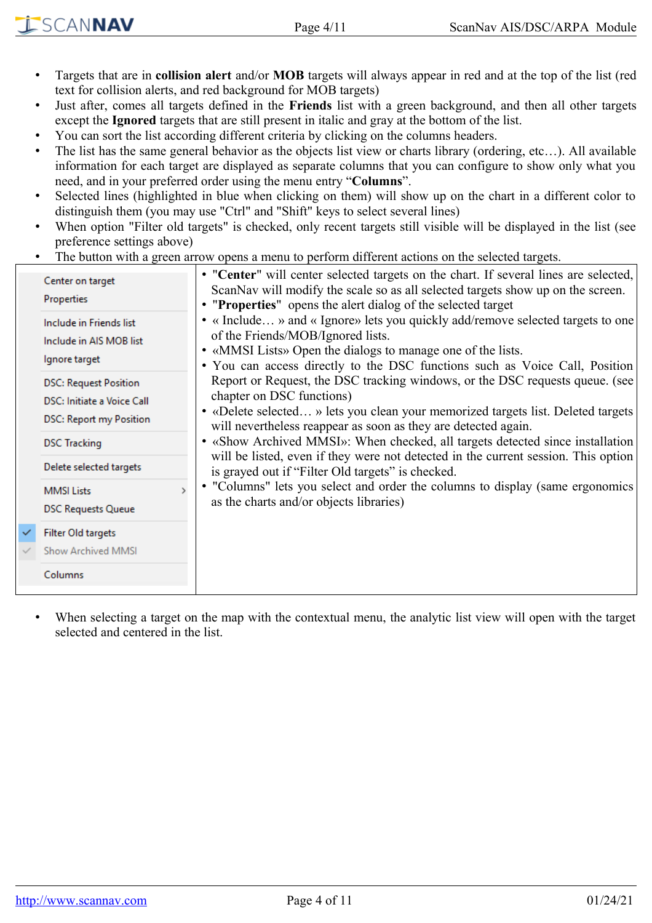- Targets that are in **collision alert** and/or **MOB** targets will always appear in red and at the top of the list (red text for collision alerts, and red background for MOB targets)
- Just after, comes all targets defined in the **Friends** list with a green background, and then all other targets except the **Ignored** targets that are still present in italic and gray at the bottom of the list.
- You can sort the list according different criteria by clicking on the columns headers.
- The list has the same general behavior as the objects list view or charts library (ordering, etc...). All available information for each target are displayed as separate columns that you can configure to show only what you need, and in your preferred order using the menu entry "**Columns**".
- Selected lines (highlighted in blue when clicking on them) will show up on the chart in a different color to distinguish them (you may use "Ctrl" and "Shift" keys to select several lines)
- When option "Filter old targets" is checked, only recent targets still visible will be displayed in the list (see preference settings above)
- The button with a green arrow opens a menu to perform different actions on the selected targets.

|              | Center on target<br><b>Properties</b>                                                        | • "Center" will center selected targets on the chart. If several lines are selected,<br>ScanNav will modify the scale so as all selected targets show up on the screen.<br>• "Properties" opens the alert dialog of the selected target                            |  |  |  |  |  |  |  |
|--------------|----------------------------------------------------------------------------------------------|--------------------------------------------------------------------------------------------------------------------------------------------------------------------------------------------------------------------------------------------------------------------|--|--|--|--|--|--|--|
|              | Include in Friends list<br>Include in AIS MOB list<br>Ignore target                          | • « Include » and « Ignore» lets you quickly add/remove selected targets to one<br>of the Friends/MOB/Ignored lists.<br>• «MMSI Lists» Open the dialogs to manage one of the lists.<br>• You can access directly to the DSC functions such as Voice Call, Position |  |  |  |  |  |  |  |
|              | <b>DSC: Request Position</b><br>DSC: Initiate a Voice Call<br><b>DSC: Report my Position</b> | Report or Request, the DSC tracking windows, or the DSC requests queue. (see<br>chapter on DSC functions)<br>• «Delete selected » lets you clean your memorized targets list. Deleted targets<br>will nevertheless reappear as soon as they are detected again.    |  |  |  |  |  |  |  |
|              | <b>DSC Tracking</b>                                                                          | • «Show Archived MMSI»: When checked, all targets detected since installation<br>will be listed, even if they were not detected in the current session. This option                                                                                                |  |  |  |  |  |  |  |
|              | Delete selected targets                                                                      | is grayed out if "Filter Old targets" is checked.                                                                                                                                                                                                                  |  |  |  |  |  |  |  |
|              | <b>MMSI Lists</b><br><b>DSC Requests Queue</b>                                               | • "Columns" lets you select and order the columns to display (same ergonomics<br>as the charts and/or objects libraries)                                                                                                                                           |  |  |  |  |  |  |  |
| $\checkmark$ | Filter Old targets                                                                           |                                                                                                                                                                                                                                                                    |  |  |  |  |  |  |  |
|              | <b>Show Archived MMSI</b>                                                                    |                                                                                                                                                                                                                                                                    |  |  |  |  |  |  |  |
|              | Columns                                                                                      |                                                                                                                                                                                                                                                                    |  |  |  |  |  |  |  |

When selecting a target on the map with the contextual menu, the analytic list view will open with the target selected and centered in the list.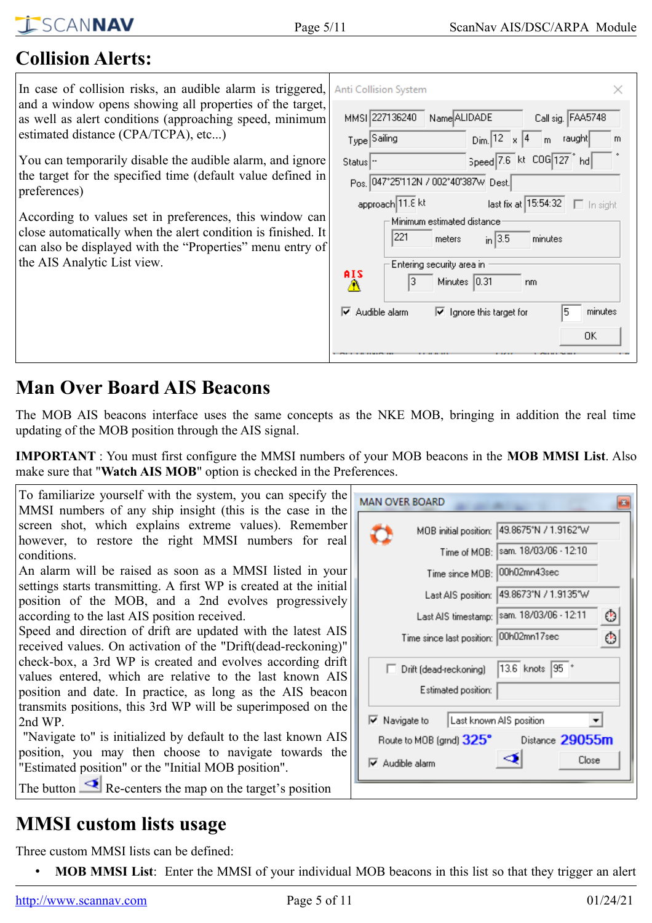# <span id="page-4-2"></span>**Collision Alerts:**

In case of collision risks, an audible alarm is triggered, and a window opens showing all properties of the target, as well as alert conditions (approaching speed, minimum estimated distance (CPA/TCPA), etc...)

You can temporarily disable the audible alarm, and ignore the target for the specified time (default value defined in preferences)

According to values set in preferences, this window can close automatically when the alert condition is finished. It can also be displayed with the "Properties" menu entry of the AIS Analytic List view.

| Anti Collision System                       |                                                        |
|---------------------------------------------|--------------------------------------------------------|
| MMSI 227136240 Name ALIDADE                 | Call sig. FAA5748                                      |
| Type Sailing                                | $Dim.$ 12 $\times$ 14 m raught<br>m                    |
| Status  -                                   | Speed 7.6 kt COG 127 hd                                |
| Pos. 047°25'112N / 002°40'387w Dest.        |                                                        |
| approach 11.8 kt                            | last fix at 15:54:32   [ In sight                      |
| Minimum estimated distance<br>221<br>meters | $\frac{1}{2}$ in 3.5<br>minutes                        |
| Entering security area in                   |                                                        |
| AIS<br>Minutes 10.31<br>3<br>m,             | nm                                                     |
| $\overline{\mathbf{v}}$ Audible alarm       | 5<br>minutes<br>$\triangledown$ Ignore this target for |
|                                             | OΚ                                                     |

# <span id="page-4-1"></span>**Man Over Board AIS Beacons**

The MOB AIS beacons interface uses the same concepts as the NKE MOB, bringing in addition the real time updating of the MOB position through the AIS signal.

**IMPORTANT** : You must first configure the MMSI numbers of your MOB beacons in the **MOB MMSI List**. Also make sure that "**Watch AIS MOB**" option is checked in the Preferences.

| MOB initial position: 49.8675°N / 1.9162°W<br>Time of MOB:  sam. 18/03/06 - 12:10                                                                                                                                                                  |
|----------------------------------------------------------------------------------------------------------------------------------------------------------------------------------------------------------------------------------------------------|
| Time since MOB: 00h02mn43sec<br>Last AIS position: 49.8673°N / 1.9135°W<br>Last AIS timestamp:  sam. 18/03/06 - 12:11<br>☺<br>Time since last position: 00h02mn17sec<br>O                                                                          |
| 13.6 knots 95 *<br>□ Drift (dead-reckoning)<br>Estimated position:<br>Last known AIS position<br>$\overline{\triangledown}$ Navigate to<br>Distance 29055m<br>Route to MOB (grnd) $325^\circ$<br>Close<br>$\overline{\triangledown}$ Audible alarm |
|                                                                                                                                                                                                                                                    |

# <span id="page-4-0"></span>**MMSI custom lists usage**

Three custom MMSI lists can be defined:

• **MOB MMSI List**: Enter the MMSI of your individual MOB beacons in this list so that they trigger an alert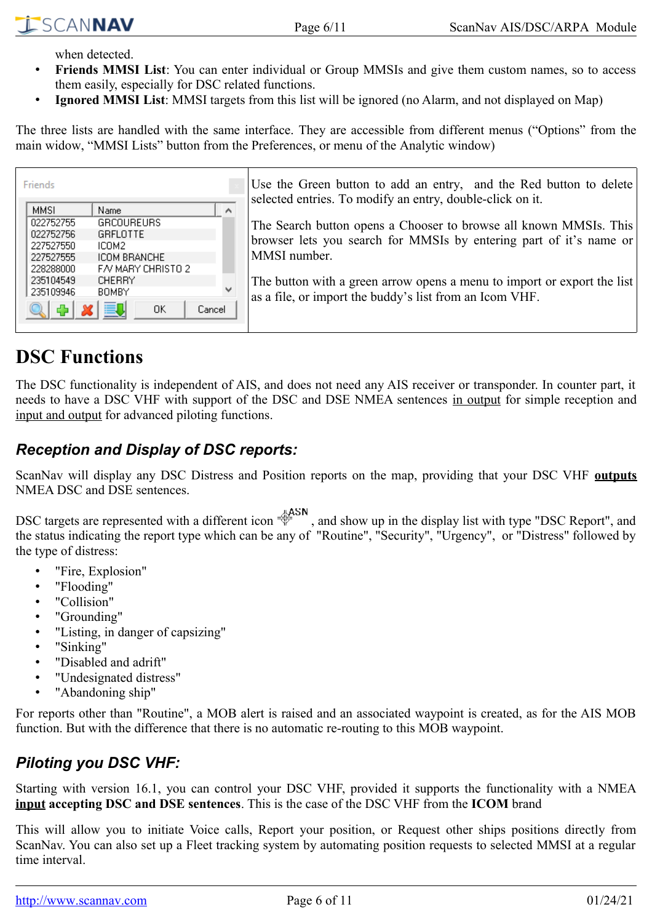when detected.

- **Friends MMSI List**: You can enter individual or Group MMSIs and give them custom names, so to access them easily, especially for DSC related functions.
- **Ignored MMSI List**: MMSI targets from this list will be ignored (no Alarm, and not displayed on Map)

The three lists are handled with the same interface. They are accessible from different menus ("Options" from the main widow, "MMSI Lists" button from the Preferences, or menu of the Analytic window)

| Friends     |                    |            | Use the Green button to add an entry, and the Red button to delete<br>selected entries. To modify an entry, double-click on it. |
|-------------|--------------------|------------|---------------------------------------------------------------------------------------------------------------------------------|
| <b>MMSI</b> | Name               | $\wedge$   |                                                                                                                                 |
| 022752755   | <b>GRCOUREURS</b>  |            | The Search button opens a Chooser to browse all known MMSIs. This                                                               |
| 022752756   | GRELOTTE           |            |                                                                                                                                 |
| 227527550   | ICOM2              |            | browser lets you search for MMSIs by entering part of it's name or                                                              |
| 227527555   | ICOM BRANCHE       |            | MMSI number.                                                                                                                    |
| 228288000   | FA/ MARY CHRISTO 2 |            |                                                                                                                                 |
| 235104549   | <b>CHERRY</b>      |            | The button with a green arrow opens a menu to import or export the list                                                         |
| 235109946   | <b>BOMBY</b>       | <b>had</b> | as a file, or import the buddy's list from an Icom VHF.                                                                         |
|             | 買口<br>0K           | Cancel     |                                                                                                                                 |

# <span id="page-5-2"></span>**DSC Functions**

The DSC functionality is independent of AIS, and does not need any AIS receiver or transponder. In counter part, it needs to have a DSC VHF with support of the DSC and DSE NMEA sentences in output for simple reception and input and output for advanced piloting functions.

### <span id="page-5-1"></span>*Reception and Display of DSC reports:*

ScanNav will display any DSC Distress and Position reports on the map, providing that your DSC VHF **outputs** NMEA DSC and DSE sentences.

DSC targets are represented with a different icon  $\frac{4 \text{ASN}}{3}$ , and show up in the display list with type "DSC Report", and the status indicating the report type which can be any of "Routine", "Security", "Urgency", or "Distress" followed by the type of distress:

- "Fire, Explosion"
- "Flooding"
- "Collision"
- "Grounding"
- "Listing, in danger of capsizing"
- "Sinking"
- "Disabled and adrift"
- "Undesignated distress"
- "Abandoning ship"

For reports other than "Routine", a MOB alert is raised and an associated waypoint is created, as for the AIS MOB function. But with the difference that there is no automatic re-routing to this MOB waypoint.

### <span id="page-5-0"></span>*Piloting you DSC VHF:*

Starting with version 16.1, you can control your DSC VHF, provided it supports the functionality with a NMEA **input accepting DSC and DSE sentences**. This is the case of the DSC VHF from the **ICOM** brand

This will allow you to initiate Voice calls, Report your position, or Request other ships positions directly from ScanNav. You can also set up a Fleet tracking system by automating position requests to selected MMSI at a regular time interval.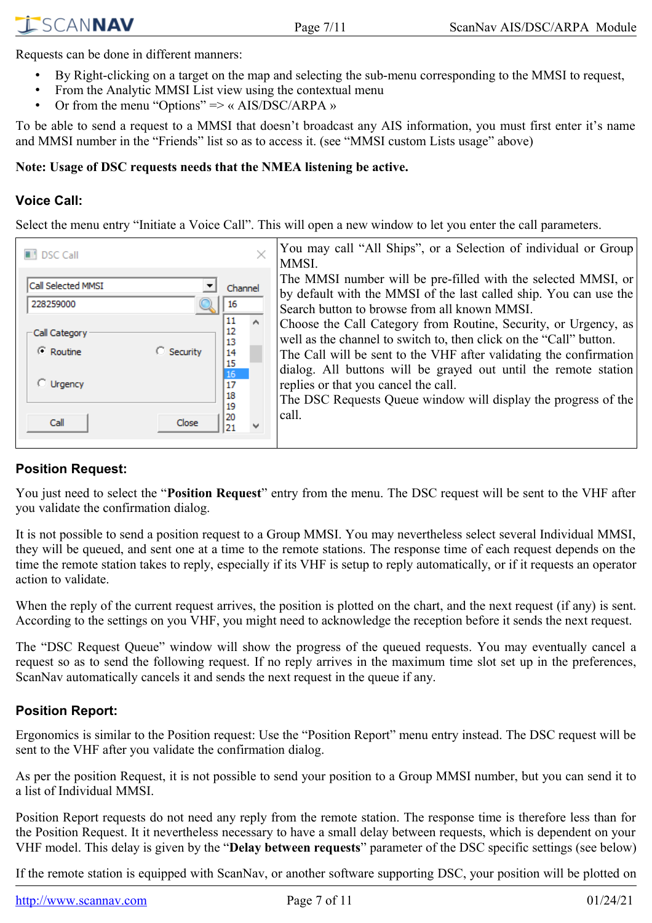Requests can be done in different manners:

- By Right-clicking on a target on the map and selecting the sub-menu corresponding to the MMSI to request,
- From the Analytic MMSI List view using the contextual menu
- Or from the menu "Options" => « AIS/DSC/ARPA »

To be able to send a request to a MMSI that doesn't broadcast any AIS information, you must first enter it's name and MMSI number in the "Friends" list so as to access it. (see "MMSI custom Lists usage" above)

#### **Note: Usage of DSC requests needs that the NMEA listening be active.**

#### <span id="page-6-2"></span>**Voice Call:**

Select the menu entry "Initiate a Voice Call". This will open a new window to let you enter the call parameters.

| <b>DSC Call</b>                 |                                          |         | You may call "All Ships", or a Selection of individual or Group<br>MMSI.                                                                                                                                                                                                       |
|---------------------------------|------------------------------------------|---------|--------------------------------------------------------------------------------------------------------------------------------------------------------------------------------------------------------------------------------------------------------------------------------|
| Call Selected MMSI<br>228259000 | 16                                       | Channel | The MMSI number will be pre-filled with the selected MMSI, or<br>by default with the MMSI of the last called ship. You can use the<br>Search button to browse from all known MMSI.                                                                                             |
| Call Category<br>C Routine      | 11<br>12<br>13<br>C Security<br>14<br>15 |         | Choose the Call Category from Routine, Security, or Urgency, as<br>well as the channel to switch to, then click on the "Call" button.<br>The Call will be sent to the VHF after validating the confirmation<br>dialog. All buttons will be grayed out until the remote station |
| C Urgency                       | 16<br>17<br>18<br>19                     |         | replies or that you cancel the call.<br>The DSC Requests Queue window will display the progress of the                                                                                                                                                                         |
| Call                            | 20<br>Close                              |         | call.                                                                                                                                                                                                                                                                          |

#### <span id="page-6-1"></span>**Position Request:**

You just need to select the "**Position Request**" entry from the menu. The DSC request will be sent to the VHF after you validate the confirmation dialog.

It is not possible to send a position request to a Group MMSI. You may nevertheless select several Individual MMSI, they will be queued, and sent one at a time to the remote stations. The response time of each request depends on the time the remote station takes to reply, especially if its VHF is setup to reply automatically, or if it requests an operator action to validate.

When the reply of the current request arrives, the position is plotted on the chart, and the next request (if any) is sent. According to the settings on you VHF, you might need to acknowledge the reception before it sends the next request.

The "DSC Request Queue" window will show the progress of the queued requests. You may eventually cancel a request so as to send the following request. If no reply arrives in the maximum time slot set up in the preferences, ScanNav automatically cancels it and sends the next request in the queue if any.

#### <span id="page-6-0"></span>**Position Report:**

Ergonomics is similar to the Position request: Use the "Position Report" menu entry instead. The DSC request will be sent to the VHF after you validate the confirmation dialog.

As per the position Request, it is not possible to send your position to a Group MMSI number, but you can send it to a list of Individual MMSI.

Position Report requests do not need any reply from the remote station. The response time is therefore less than for the Position Request. It it nevertheless necessary to have a small delay between requests, which is dependent on your VHF model. This delay is given by the "**Delay between requests**" parameter of the DSC specific settings (see below)

If the remote station is equipped with ScanNav, or another software supporting DSC, your position will be plotted on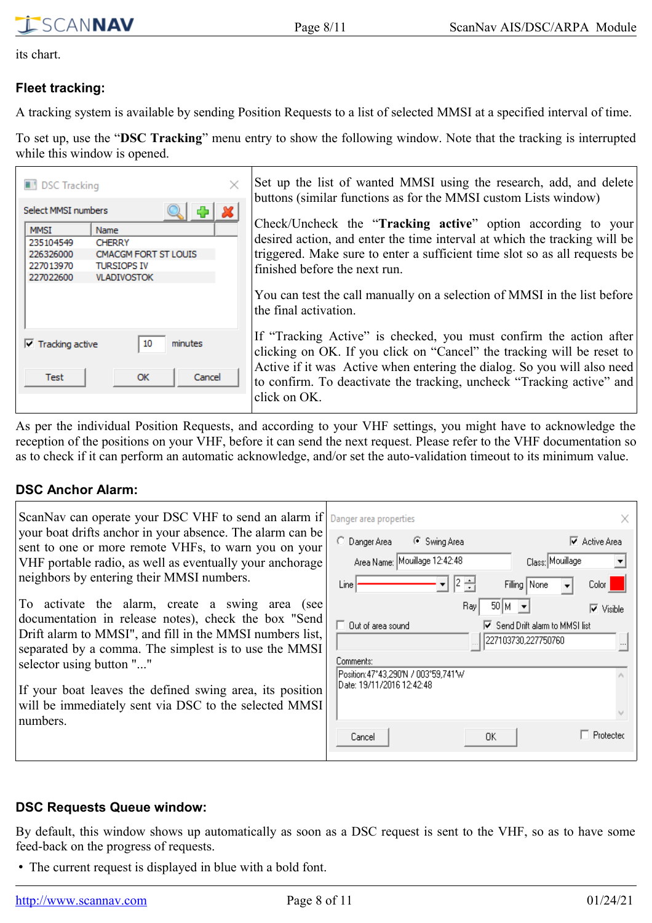its chart.

 $\overline{\Gamma}$ 

#### <span id="page-7-2"></span>**Fleet tracking:**

SCANNAV

A tracking system is available by sending Position Requests to a list of selected MMSI at a specified interval of time.

To set up, use the "**DSC Tracking**" menu entry to show the following window. Note that the tracking is interrupted while this window is opened.

| <b>DSC Tracking</b><br>Select MMSI numbers                                                                                                                                 | Set up the list of wanted MMSI using the research, add, and delete<br>buttons (similar functions as for the MMSI custom Lists window)                                                                                                                                                            |  |
|----------------------------------------------------------------------------------------------------------------------------------------------------------------------------|--------------------------------------------------------------------------------------------------------------------------------------------------------------------------------------------------------------------------------------------------------------------------------------------------|--|
| <b>MMSI</b><br><b>Name</b><br>235104549<br><b>CHERRY</b><br><b>CMACGM FORT ST LOUIS</b><br>226326000<br><b>TURSIOPS IV</b><br>227013970<br>227022600<br><b>VLADIVOSTOK</b> | Check/Uncheck the "Tracking active" option according to your<br>desired action, and enter the time interval at which the tracking will be<br>triggered. Make sure to enter a sufficient time slot so as all requests be<br>finished before the next run.                                         |  |
|                                                                                                                                                                            | You can test the call manually on a selection of MMSI in the list before<br>the final activation.                                                                                                                                                                                                |  |
| minutes<br>$\triangledown$ Tracking active<br>10<br><b>OK</b><br>Cancel<br>Test                                                                                            | If "Tracking Active" is checked, you must confirm the action after<br>clicking on OK. If you click on "Cancel" the tracking will be reset to<br>Active if it was Active when entering the dialog. So you will also need<br>to confirm. To deactivate the tracking, uncheck "Tracking active" and |  |
|                                                                                                                                                                            | click on OK.                                                                                                                                                                                                                                                                                     |  |

As per the individual Position Requests, and according to your VHF settings, you might have to acknowledge the reception of the positions on your VHF, before it can send the next request. Please refer to the VHF documentation so as to check if it can perform an automatic acknowledge, and/or set the auto-validation timeout to its minimum value.

#### <span id="page-7-1"></span>**DSC Anchor Alarm:**

| ScanNav can operate your DSC VHF to send an alarm if                                                                                                                                                                                                                                                                                                                                      | Danger area properties                                                                                                                                                                                                                                                |  |  |  |  |
|-------------------------------------------------------------------------------------------------------------------------------------------------------------------------------------------------------------------------------------------------------------------------------------------------------------------------------------------------------------------------------------------|-----------------------------------------------------------------------------------------------------------------------------------------------------------------------------------------------------------------------------------------------------------------------|--|--|--|--|
| your boat drifts anchor in your absence. The alarm can be<br>sent to one or more remote VHFs, to warn you on your<br>VHF portable radio, as well as eventually your anchorage<br>neighbors by entering their MMSI numbers.                                                                                                                                                                | $\nabla$ Active Area<br>C Danger Area<br>C Swing Area<br>Area Name: Mouillage 12:42:48<br>Class: Mouillage<br>$ 2 \div$<br>Filling   None<br>Line<br>Color<br>$\blacktriangledown$                                                                                    |  |  |  |  |
| To activate the alarm, create a swing area (see<br>documentation in release notes), check the box "Send<br>Drift alarm to MMSI", and fill in the MMSI numbers list,<br>separated by a comma. The simplest is to use the MMSI<br>selector using button ""<br>If your boat leaves the defined swing area, its position<br>will be immediately sent via DSC to the selected MMSI<br>numbers. | $50 M \rightarrow$<br>Ray<br>$\overline{\triangledown}$ Visible<br>$\Box$ Out of area sound<br>□ Send Drift alarm to MMSI list<br>227103730,227750760<br>Comments:<br>Position: 47°43,290'N / 003°59,741'W<br>lDate: 19/11/2016 12:42:48<br>Protected<br>OΚ<br>Cancel |  |  |  |  |

#### <span id="page-7-0"></span>**DSC Requests Queue window:**

By default, this window shows up automatically as soon as a DSC request is sent to the VHF, so as to have some feed-back on the progress of requests.

• The current request is displayed in blue with a bold font.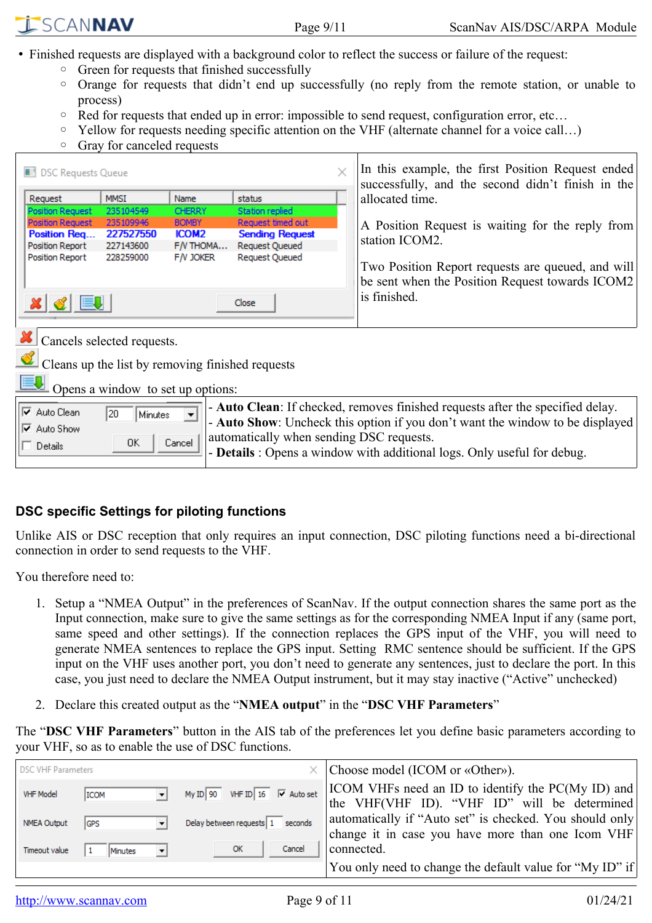- Finished requests are displayed with a background color to reflect the success or failure of the request:
	- Green for requests that finished successfully
	- Orange for requests that didn't end up successfully (no reply from the remote station, or unable to process)
	- Red for requests that ended up in error: impossible to send request, configuration error, etc…
	- Yellow for requests needing specific attention on the VHF (alternate channel for a voice call…)
	- Gray for canceled requests

| <b>DSC Requests Queue</b>                                                                                                                                                                                                                                                                                   |                                                  |               |                        |  | In this example, the first Position Request ended<br>successfully, and the second didn't finish in the |  |  |  |
|-------------------------------------------------------------------------------------------------------------------------------------------------------------------------------------------------------------------------------------------------------------------------------------------------------------|--------------------------------------------------|---------------|------------------------|--|--------------------------------------------------------------------------------------------------------|--|--|--|
| Request                                                                                                                                                                                                                                                                                                     | <b>MMSI</b>                                      | Name          | status                 |  | allocated time.                                                                                        |  |  |  |
| <b>Position Request</b>                                                                                                                                                                                                                                                                                     | 235104549                                        | <b>CHERRY</b> | Station replied        |  |                                                                                                        |  |  |  |
| <b>Position Request</b>                                                                                                                                                                                                                                                                                     | 235109946                                        | <b>BOMBY</b>  | Request timed out      |  | A Position Request is waiting for the reply from                                                       |  |  |  |
| Position Req                                                                                                                                                                                                                                                                                                | 227527550                                        | <b>ICOM2</b>  | <b>Sending Request</b> |  | station ICOM2.                                                                                         |  |  |  |
| Position Report                                                                                                                                                                                                                                                                                             | 227143600                                        | $F/N$ THOMA   | Request Queued         |  |                                                                                                        |  |  |  |
| Position Report                                                                                                                                                                                                                                                                                             | 228259000                                        | $F/V$ JOKER   | <b>Request Queued</b>  |  | Two Position Report requests are queued, and will<br>be sent when the Position Request towards ICOM2   |  |  |  |
| $x \vert \mathcal{C} \vert$ but                                                                                                                                                                                                                                                                             |                                                  |               | Close                  |  | is finished.                                                                                           |  |  |  |
| Cancels selected requests.                                                                                                                                                                                                                                                                                  |                                                  |               |                        |  |                                                                                                        |  |  |  |
|                                                                                                                                                                                                                                                                                                             | Cleans up the list by removing finished requests |               |                        |  |                                                                                                        |  |  |  |
|                                                                                                                                                                                                                                                                                                             | Opens a window to set up options:                |               |                        |  |                                                                                                        |  |  |  |
| - Auto Clean: If checked, removes finished requests after the specified delay.<br>$\overline{\triangledown}$ Auto Clean<br>20<br>Minutes<br>- Auto Show: Uncheck this option if you don't want the window to be displayed<br><b>▽</b> Auto Show<br>automatically when sending DSC requests.<br>0K<br>Cancel |                                                  |               |                        |  |                                                                                                        |  |  |  |
| Details<br>- Details : Opens a window with additional logs. Only useful for debug.                                                                                                                                                                                                                          |                                                  |               |                        |  |                                                                                                        |  |  |  |

#### <span id="page-8-0"></span>**DSC specific Settings for piloting functions**

Unlike AIS or DSC reception that only requires an input connection, DSC piloting functions need a bi-directional connection in order to send requests to the VHF.

You therefore need to:

- 1. Setup a "NMEA Output" in the preferences of ScanNav. If the output connection shares the same port as the Input connection, make sure to give the same settings as for the corresponding NMEA Input if any (same port, same speed and other settings). If the connection replaces the GPS input of the VHF, you will need to generate NMEA sentences to replace the GPS input. Setting RMC sentence should be sufficient. If the GPS input on the VHF uses another port, you don't need to generate any sentences, just to declare the port. In this case, you just need to declare the NMEA Output instrument, but it may stay inactive ("Active" unchecked)
- 2. Declare this created output as the "**NMEA output**" in the "**DSC VHF Parameters**"

The "**DSC VHF Parameters**" button in the AIS tab of the preferences let you define basic parameters according to your VHF, so as to enable the use of DSC functions.

| <b>DSC VHF Parameters</b> |            |  |                                            | Choose model (ICOM or «Other»).                                                                              |
|---------------------------|------------|--|--------------------------------------------|--------------------------------------------------------------------------------------------------------------|
| <b>VHF Model</b>          | ICOM       |  | My ID 90 VHF ID 16 $\overline{V}$ Auto set | <b>ICOM VHFs need an ID to identify the PC(My ID) and</b><br>the VHF(VHF ID). "VHF ID" will be determined    |
| <b>NMEA Output</b>        | <b>GPS</b> |  | Delay between requests $\boxed{1}$ seconds | automatically if "Auto set" is checked. You should only<br>change it in case you have more than one Icom VHF |
| Timeout value             | Minutes    |  | OK<br>Cancel                               | connected.                                                                                                   |
|                           |            |  |                                            | You only need to change the default value for "My ID" if                                                     |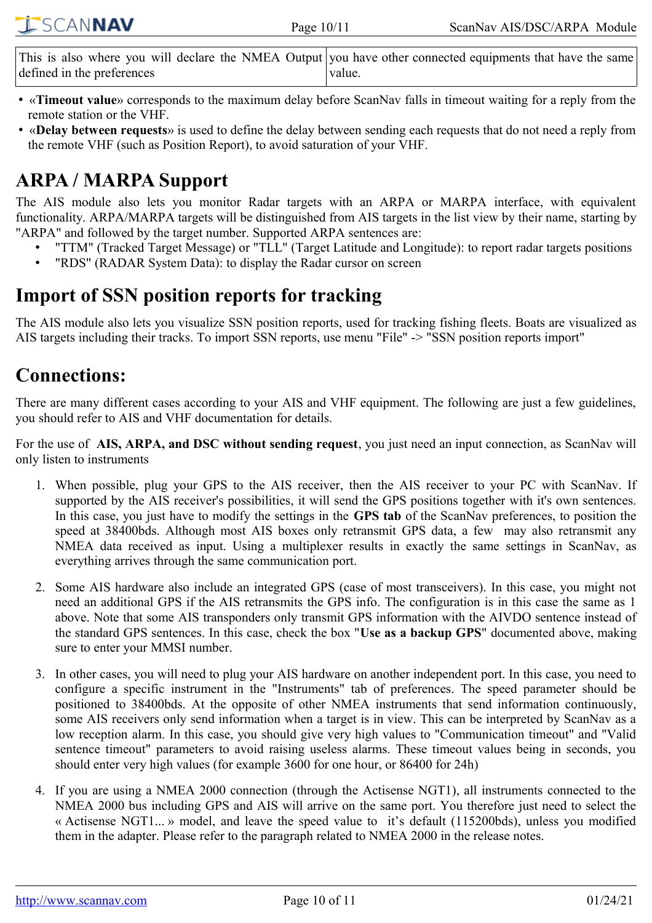| <b>ISCANNAV</b> | Page $10/11$ | ScanNav AIS/DSC/ARPA Module                                                                                |
|-----------------|--------------|------------------------------------------------------------------------------------------------------------|
|                 |              |                                                                                                            |
|                 |              | This is also where you will declare the NMFA Output you have other connected equipments that have the same |

- This is also where you will declare the NMEA Output defined in the preferences you have other connected equipments that have the same value.
- «**Timeout value**» corresponds to the maximum delay before ScanNav falls in timeout waiting for a reply from the remote station or the VHF.
- «**Delay between requests**» is used to define the delay between sending each requests that do not need a reply from the remote VHF (such as Position Report), to avoid saturation of your VHF.

# <span id="page-9-2"></span>**ARPA / MARPA Support**

The AIS module also lets you monitor Radar targets with an ARPA or MARPA interface, with equivalent functionality. ARPA/MARPA targets will be distinguished from AIS targets in the list view by their name, starting by "ARPA" and followed by the target number. Supported ARPA sentences are:

- "TTM" (Tracked Target Message) or "TLL" (Target Latitude and Longitude): to report radar targets positions
- "RDS" (RADAR System Data): to display the Radar cursor on screen

### <span id="page-9-1"></span>**Import of SSN position reports for tracking**

The AIS module also lets you visualize SSN position reports, used for tracking fishing fleets. Boats are visualized as AIS targets including their tracks. To import SSN reports, use menu "File" -> "SSN position reports import"

# <span id="page-9-0"></span>**Connections:**

There are many different cases according to your AIS and VHF equipment. The following are just a few guidelines, you should refer to AIS and VHF documentation for details.

For the use of **AIS, ARPA, and DSC without sending request**, you just need an input connection, as ScanNav will only listen to instruments

- 1. When possible, plug your GPS to the AIS receiver, then the AIS receiver to your PC with ScanNav. If supported by the AIS receiver's possibilities, it will send the GPS positions together with it's own sentences. In this case, you just have to modify the settings in the **GPS tab** of the ScanNav preferences, to position the speed at 38400bds. Although most AIS boxes only retransmit GPS data, a few may also retransmit any NMEA data received as input. Using a multiplexer results in exactly the same settings in ScanNav, as everything arrives through the same communication port.
- 2. Some AIS hardware also include an integrated GPS (case of most transceivers). In this case, you might not need an additional GPS if the AIS retransmits the GPS info. The configuration is in this case the same as 1 above. Note that some AIS transponders only transmit GPS information with the AIVDO sentence instead of the standard GPS sentences. In this case, check the box "**Use as a backup GPS**" documented above, making sure to enter your MMSI number.
- 3. In other cases, you will need to plug your AIS hardware on another independent port. In this case, you need to configure a specific instrument in the "Instruments" tab of preferences. The speed parameter should be positioned to 38400bds. At the opposite of other NMEA instruments that send information continuously, some AIS receivers only send information when a target is in view. This can be interpreted by ScanNav as a low reception alarm. In this case, you should give very high values to "Communication timeout" and "Valid sentence timeout" parameters to avoid raising useless alarms. These timeout values being in seconds, you should enter very high values (for example 3600 for one hour, or 86400 for 24h)
- 4. If you are using a NMEA 2000 connection (through the Actisense NGT1), all instruments connected to the NMEA 2000 bus including GPS and AIS will arrive on the same port. You therefore just need to select the « Actisense NGT1... » model, and leave the speed value to it's default (115200bds), unless you modified them in the adapter. Please refer to the paragraph related to NMEA 2000 in the release notes.